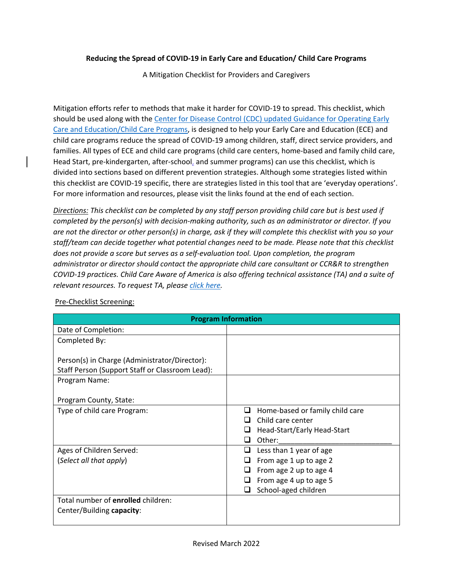# **Reducing the Spread of COVID-19 in Early Care and Education/ Child Care Programs**

A Mitigation Checklist for Providers and Caregivers

Mitigation efforts refer to methods that make it harder for COVID-19 to spread. This checklist, which should be used along with the [Center for Disease Control \(CDC\) updated Guidance for Operating Early](https://www.cdc.gov/coronavirus/2019-ncov/community/schools-childcare/child-care-guidance.html)  [Care and Education/Child Care Programs,](https://www.cdc.gov/coronavirus/2019-ncov/community/schools-childcare/child-care-guidance.html) is designed to help your Early Care and Education (ECE) and child care programs reduce the spread of COVID-19 among children, staff, direct service providers, and families. All types of ECE and child care programs (child care centers, home-based and family child care, Head Start, pre-kindergarten, after-school, and summer programs) can use this checklist, which is divided into sections based on different prevention strategies. Although some strategies listed within this checklist are COVID-19 specific, there are strategies listed in this tool that are 'everyday operations'. For more information and resources, please visit the links found at the end of each section.

*Directions: This checklist can be completed by any staff person providing child care but is best used if completed by the person(s) with decision-making authority, such as an administrator or director. If you are not the director or other person(s) in charge, ask if they will complete this checklist with you so your staff/team can decide together what potential changes need to be made. Please note that this checklist does not provide a score but serves as a self-evaluation tool. Upon completion, the program administrator or director should contact the appropriate child care consultant or CCR&R to strengthen COVID-19 practices. Child Care Aware of America is also offering technical assistance (TA) and a suite of relevant resources. To request TA, please [click here.](https://info.childcareaware.org/request-technical-assistance-from-ccaoa)* 

| <b>Program Information</b>                      |                                           |  |
|-------------------------------------------------|-------------------------------------------|--|
| Date of Completion:                             |                                           |  |
| Completed By:                                   |                                           |  |
|                                                 |                                           |  |
| Person(s) in Charge (Administrator/Director):   |                                           |  |
| Staff Person (Support Staff or Classroom Lead): |                                           |  |
| Program Name:                                   |                                           |  |
|                                                 |                                           |  |
| Program County, State:                          |                                           |  |
| Type of child care Program:                     | Home-based or family child care<br>$\Box$ |  |
|                                                 | Child care center                         |  |
|                                                 | Head-Start/Early Head-Start               |  |
|                                                 | Other:                                    |  |
| Ages of Children Served:                        | Less than 1 year of age                   |  |
| (Select all that apply)                         | From age 1 up to age 2                    |  |
|                                                 | From age 2 up to age 4                    |  |
|                                                 | From age 4 up to age 5                    |  |
|                                                 | School-aged children                      |  |
| Total number of enrolled children:              |                                           |  |
| Center/Building capacity:                       |                                           |  |
|                                                 |                                           |  |

Pre-Checklist Screening: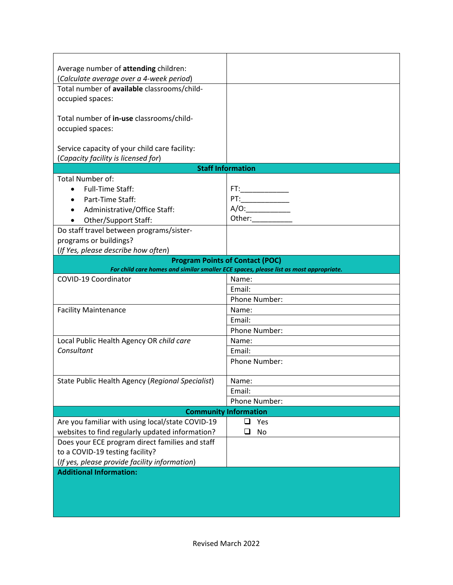| Average number of attending children:            |                                                                                       |  |
|--------------------------------------------------|---------------------------------------------------------------------------------------|--|
| (Calculate average over a 4-week period)         |                                                                                       |  |
| Total number of available classrooms/child-      |                                                                                       |  |
| occupied spaces:                                 |                                                                                       |  |
| Total number of in-use classrooms/child-         |                                                                                       |  |
| occupied spaces:                                 |                                                                                       |  |
| Service capacity of your child care facility:    |                                                                                       |  |
| (Capacity facility is licensed for)              |                                                                                       |  |
|                                                  | <b>Staff Information</b>                                                              |  |
| <b>Total Number of:</b>                          |                                                                                       |  |
| <b>Full-Time Staff:</b>                          |                                                                                       |  |
| Part-Time Staff:                                 | $PT:\_\_\_\_\_\_\_\_\_\_\_\_$                                                         |  |
| Administrative/Office Staff:                     |                                                                                       |  |
| Other/Support Staff:                             | Other:_____________                                                                   |  |
| Do staff travel between programs/sister-         |                                                                                       |  |
| programs or buildings?                           |                                                                                       |  |
| (If Yes, please describe how often)              |                                                                                       |  |
|                                                  | <b>Program Points of Contact (POC)</b>                                                |  |
|                                                  | For child care homes and similar smaller ECE spaces, please list as most appropriate. |  |
| COVID-19 Coordinator                             | Name:                                                                                 |  |
|                                                  | Email:                                                                                |  |
|                                                  | Phone Number:                                                                         |  |
| <b>Facility Maintenance</b>                      | Name:                                                                                 |  |
|                                                  | Email:                                                                                |  |
|                                                  | Phone Number:                                                                         |  |
| Local Public Health Agency OR child care         | Name:                                                                                 |  |
| Consultant                                       | Email:                                                                                |  |
|                                                  | Phone Number:                                                                         |  |
| State Public Health Agency (Regional Specialist) | Name:                                                                                 |  |
|                                                  | Email:                                                                                |  |
|                                                  | Phone Number:                                                                         |  |
| <b>Community Information</b>                     |                                                                                       |  |
| Are you familiar with using local/state COVID-19 | ப<br>Yes                                                                              |  |
| websites to find regularly updated information?  | No                                                                                    |  |
| Does your ECE program direct families and staff  |                                                                                       |  |
| to a COVID-19 testing facility?                  |                                                                                       |  |
| (If yes, please provide facility information)    |                                                                                       |  |
| <b>Additional Information:</b>                   |                                                                                       |  |
|                                                  |                                                                                       |  |
|                                                  |                                                                                       |  |
|                                                  |                                                                                       |  |
|                                                  |                                                                                       |  |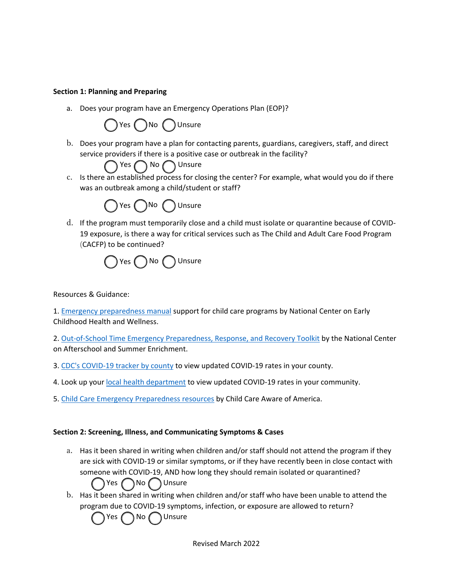#### **Section 1: Planning and Preparing**

a. Does your program have an Emergency Operations Plan (EOP)?



b. Does your program have a plan for contacting parents, guardians, caregivers, staff, and direct service providers if there is a positive case or outbreak in the facility?

 $\bigcap$  No  $\bigcap$  Unsure

c. Is there an established process for closing the center? For example, what would you do if there was an outbreak among a child/student or staff?



d. If the program must temporarily close and a child must isolate or quarantine because of COVID-19 exposure, is there a way for critical services such as The Child and Adult Care Food Program (CACFP) to be continued?

$$
\bigcirc Yes \bigcirc No \bigcirc \text{Unsure}
$$

Resources & Guidance:

1. [Emergency preparedness manual](https://eclkc.ohs.acf.hhs.gov/sites/default/files/pdf/emergency-preparedness-manual-early-childhood-programs.pdf) support for child care programs by National Center on Early Childhood Health and Wellness.

2. [Out-of-School Time Emergency Preparedness, Response, and Recovery Toolkit](https://childcareta.acf.hhs.gov/resource/ost-emergency-preparedness-response-and-recovery-toolkit) by the National Center on Afterschool and Summer Enrichment.

- 3. [CDC's COVID-19 tracker by county](https://covid.cdc.gov/covid-data-tracker/#county-view) to view updated COVID-19 rates in your county.
- 4. Look up your [local health department](https://www.cdc.gov/publichealthgateway/healthdirectories/index.html) to view updated COVID-19 rates in your community.
- 5. [Child Care Emergency Preparedness resources](https://www.childcareaware.org/our-issues/crisis-and-disaster-resources/child-care-emergency-preparedness/) by Child Care Aware of America.

#### **Section 2: Screening, Illness, and Communicating Symptoms & Cases**

a. Has it been shared in writing when children and/or staff should not attend the program if they are sick with COVID-19 or similar symptoms, or if they have recently been in close contact with someone with COVID-19, AND how long they should remain isolated or quarantined?

Yes **No** Unsure

b. Has it been shared in writing when children and/or staff who have been unable to attend the program due to COVID-19 symptoms, infection, or exposure are allowed to return?

Yes ( ) No ( ) Unsure

Revised March 2022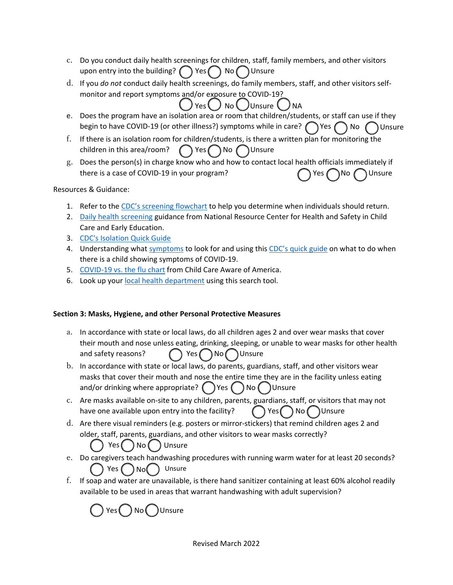- c. Do you conduct daily health screenings for children, staff, family members, and other visitors upon entry into the building?  $\binom{ }{ }$  Yes  $\binom{ }{ }$  No  $\binom{ }{ }$  Unsure
- d. If you *do not* conduct daily health screenings, do family members, staff, and other visitors selfmonitor and report symptoms and/or exposure to COVID-19?
- e. Does the program have an isolation area or room that children/students, or staff can use if they begin to have COVID-19 (or other illness?) symptoms while in care?  $\bigcap$  Yes  $\bigcap$  No  $\bigcap$  Unsure

 $)$  Yes  $()$  No  $()$  Unsure  $()$  NA

- f. If there is an isolation room for children/students, is there a written plan for monitoring the children in this area/room?  $\bigcap$  Yes  $\bigcap$  No  $\bigcap$  Unsure
- g. Does the person(s) in charge know who and how to contact local health officials immediately if there is a case of COVID-19 in your program?  $\bigcap$  Yes  $\bigcap$  No  $\bigcap$  Unsure

### Resources & Guidance:

- 1. Refer to the [CDC's screening flowchart](https://www.cdc.gov/coronavirus/2019-ncov/community/schools-childcare/symptom-screening-flowchart.html) to help you determine when individuals should return.
- 2. [Daily health screening g](https://nrckids.org/CFOC/Database/3.1.1.1)uidance from National Resource Center for Health and Safety in Child Care and Early Education.
- 3. [CDC's Isolation Quick Guide](https://www.cdc.gov/coronavirus/2019-ncov/downloads/communication/print-resources/COVID-ChildCareProgram-Flowchart-H.pdf)
- 4. Understanding what [symptoms](https://www.cdc.gov/coronavirus/2019-ncov/symptoms-testing/symptoms.html) to look for and using this [CDC's quick guide](https://www.cdc.gov/coronavirus/2019-ncov/downloads/community/schools-childcare/childcare-providers-quick-guide-print.pdf) on what to do when there is a child showing symptoms of COVID-19.
- 5. [COVID-19 vs. the flu chart](https://www.childcareaware.org/wp-content/uploads/2020/10/COVID19FluAndYou-09292020.pdf) from Child Care Aware of America.
- 6. Look up you[r local health department](https://www.cdc.gov/publichealthgateway/healthdirectories/index.html) using this search tool.

### **Section 3: Masks, Hygiene, and other Personal Protective Measures**

- a. In accordance with state or local laws, do all children ages 2 and over wear masks that cover their mouth and nose unless eating, drinking, sleeping, or unable to wear masks for other health and safety reasons?  $\bigcap$  Yes  $\bigcap$  No Unsure
- b. In accordance with state or local laws, do parents, guardians, staff, and other visitors wear masks that cover their mouth and nose the entire time they are in the facility unless eating and/or drinking where appropriate?  $($  ) Yes  $($  ) No  $($  ) Unsure
- c. Are masks available on-site to any children, parents, guardians, staff, or visitors that may not have one available upon entry into the facility?  $\left( \begin{array}{c} \big)$  Yes  $\left( \begin{array}{c} \big)$  No  $\left( \begin{array}{c} \big)$  Unsure
- d. Are there visual reminders (e.g. posters or mirror-stickers) that remind children ages 2 and older, staff, parents, guardians, and other visitors to wear masks correctly? ) Yes  $\left( \begin{array}{c} \end{array} \right)$  No  $\left( \begin{array}{c} \end{array} \right)$  Unsure
- e. Do caregivers teach handwashing procedures with running warm water for at least 20 seconds? Yes  $\bigcap_{\mathsf{No}} \bigcap$  Unsure
- f. If soap and water are unavailable, is there hand sanitizer containing at least 60% alcohol readily available to be used in areas that warrant handwashing with adult supervision?

 $Yes( ) No( )$ Unsure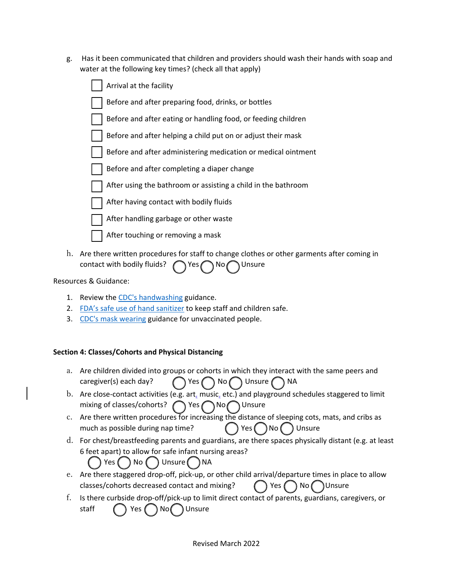g. Has it been communicated that children and providers should wash their hands with soap and water at the following key times? (check all that apply)

| Arrival at the facility                                       |
|---------------------------------------------------------------|
| Before and after preparing food, drinks, or bottles           |
| Before and after eating or handling food, or feeding children |
| Before and after helping a child put on or adjust their mask  |
| Before and after administering medication or medical ointment |
| Before and after completing a diaper change                   |
| After using the bathroom or assisting a child in the bathroom |
| After having contact with bodily fluids                       |
| After handling garbage or other waste                         |
| After touching or removing a mask                             |

h. Are there written procedures for staff to change clothes or other garments after coming in contact with bodily fluids?  $\bigcap$  Yes  $\bigcap$  No  $\bigcap$  Unsure

Resources & Guidance:

- 1. Review the [CDC's handwashing](https://www.cdc.gov/handwashing/when-how-handwashing.html) guidance.
- 2. [FDA's safe use of hand sanitizer](https://www.cdc.gov/coronavirus/2019-ncov/community/organizations/disinfecting-transport-vehicles.html) to keep staff and children safe.
- 3. [CDC's mask wearing](https://www.cdc.gov/coronavirus/2019-ncov/prevent-getting-sick/cloth-face-cover-guidance.html) guidance for unvaccinated people.

# **Section 4: Classes/Cohorts and Physical Distancing**

- a. Are children divided into groups or cohorts in which they interact with the same peers and caregiver(s) each day?  $\bigcap$  Yes  $\bigcap$  No  $\bigcap$  Unsure  $\bigcap$  NA
- b. Are close-contact activities (e.g. art, music, etc.) and playground schedules staggered to limit mixing of classes/cohorts?  $\bigcap$  Yes  $\bigcap$  No Unsure
- c. Are there written procedures for increasing the distance of sleeping cots, mats, and cribs as much as possible during nap time?  $( )$  Yes  $( )$  No  $( )$  Unsure
- d. For chest/breastfeeding parents and guardians, are there spaces physically distant (e.g. at least 6 feet apart) to allow for safe infant nursing areas?

 $Yes( ) No( ) Unsure( ) NA$ 

- e. Are there staggered drop-off, pick-up, or other child arrival/departure times in place to allow classes/cohorts decreased contact and mixing?  $\bigcap$  Yes  $\bigcap$  No Unsure
- f. Is there curbside drop-off/pick-up to limit direct contact of parents, guardians, caregivers, or staff  $\bigcap$  Yes  $\bigcap$  No Unsure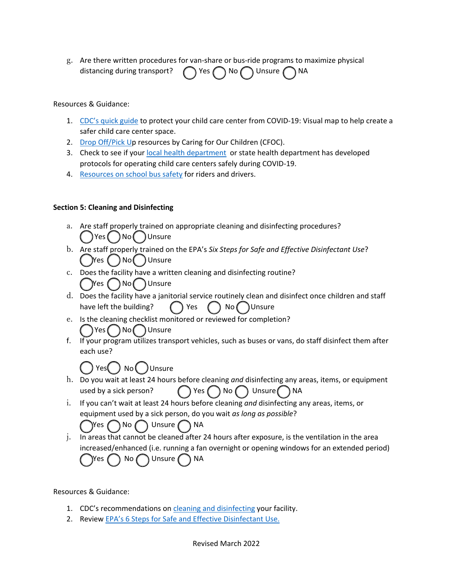g. Are there written procedures for van-share or bus-ride programs to maximize physical distancing during transport?  $\bigcap$  Yes  $\bigcap$  No  $\bigcap$  Unsure  $\bigcap$  NA

Resources & Guidance:

- 1. [CDC's quick guide](https://www.cdc.gov/coronavirus/2019-ncov/downloads/community/schools-childcare/322883-B_COVID-19_ChildcareGuidance_CENTER_infographic_v3.pdf) to protect your child care center from COVID-19: Visual map to help create a safer child care center space.
- 2. [Drop Off/Pick Up](https://nrckids.org/CFOC/Database/6.5.2.1) resources by Caring for Our Children (CFOC).
- 3. Check to see if your [local health department](https://www.cdc.gov/publichealthgateway/healthdirectories/index.html) or state health department has developed protocols for operating child care centers safely during COVID-19.
- 4. [Resources on school bus safety](https://www.cdc.gov/coronavirus/2019-ncov/community/schools-childcare/k-12-staff.html#school-bus-drivers) for riders and drivers.

### **Section 5: Cleaning and Disinfecting**

- a. Are staff properly trained on appropriate cleaning and disinfecting procedures? Yes ( ) No ( ) Unsure
- b. Are staff properly trained on the EPA's *Six Steps for Safe and Effective Disinfectant Use*?  $($   $)$ Yes  $($   $)$  No  $($   $)$  Unsure
- c. Does the facility have a written cleaning and disinfecting routine?  $\mathbb{Y}$ es  $( \ )$ No $( \ )$ Unsure
- d. Does the facility have a janitorial service routinely clean and disinfect once children and staff have left the building?  $\bigcap$  Yes  $\bigcap$  No Unsure
- e. Is the cleaning checklist monitored or reviewed for completion? Yes No Unsure
- f. If your program utilizes transport vehicles, such as buses or vans, do staff disinfect them after each use?

 $\bigcap$  Yes $\bigcap$   $set$   $\bigcap$   $\bigcap$   $\bigcap$   $\bigcap$   $\bigcap$ 

- h. Do you wait at least 24 hours before cleaning *and* disinfecting any areas, items, or equipment used by a sick person?  $\bigcap$  Yes  $\bigcap$  No  $\bigcap$  Unsure  $\bigcap$  NA
- i. If you can't wait at least 24 hours before cleaning *and* disinfecting any areas, items, or equipment used by a sick person, do you wait *as long as possible*?

Yes ( ) No ( ) Unsure ( ) NA

j. In areas that cannot be cleaned after 24 hours after exposure, is the ventilation in the area increased/enhanced (i.e. running a fan overnight or opening windows for an extended period)  $\gamma$ Yes  $\bigcap$  No  $\bigcap$  Unsure  $\bigcap$  NA

#### Resources & Guidance:

- 1. CDC's recommendations on [cleaning and disinfecting](https://www.cdc.gov/coronavirus/2019-ncov/community/disinfecting-building-facility.html) your facility.
- 2. Review [EPA's 6 Steps for Safe and Effective Disinfectant Use.](https://www.epa.gov/coronavirus/six-steps-safe-effective-disinfectant-use)

Revised March 2022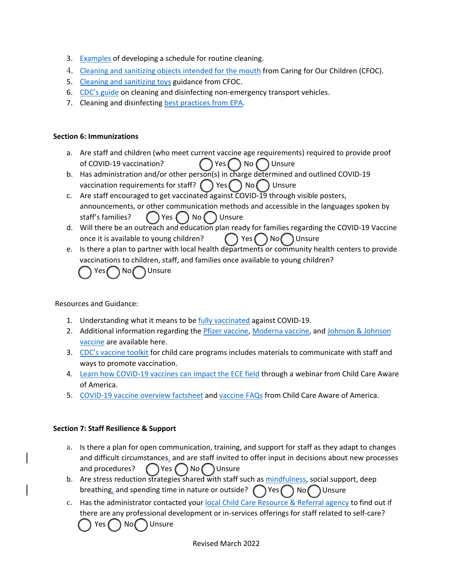- 3. Examples of developing a schedule for routine cleaning.
- 4. Cleaning and sanitizing objects intended for the mouth from Caring for Our Children (CFOC).
- 5. Cleaning and sanitizing toys guidance from CFOC.
- 6. CDC's guide on cleaning and disinfecting non-emergency transport vehicles.
- 7. Cleaning and disinfecting best practices from EPA.

### **Section 6: Immunizations**

- a. Are staff and children (who meet current vaccine age requirements) required to provide proof of COVID-19 vaccination?  $( )$  Yes  $( )$  No  $( )$  Unsure
- b. Has administration and/or other person(s) in charge determined and outlined COVID-19 vaccination requirements for staff?  $($   $)$  Yes  $($   $)$  No  $($   $)$  Unsure
- c. Are staff encouraged to get vaccinated against COVID-19 through visible posters, announcements, or other communication methods and accessible in the languages spoken by staff's families?  $($   $)$  Yes  $($   $)$  No  $($   $)$  Unsure
- d. Will there be an outreach and education plan ready for families regarding the COVID-19 Vaccine once it is available to young children?  $( )$  Yes  $( )$  No  $( )$  Unsure
- e. Is there a plan to partner with local health departments or community health centers to provide vaccinations to children, staff, and families once available to young children?  $Yes \cap No \cap$  Unsure

Resources and Guidance:

- 1. Understanding what it means to be fully vaccinated against COVID-19.
- 2. Additional information regarding the Pfizer vaccine, Moderna vaccine, and Johnson & Johnson vaccine are available here.
- 3. CDC's vaccine toolkit for child care programs includes materials to communicate with staff and ways to promote vaccination.
- 4. Learn how COVID-19 vaccines can impact the ECE field through a webinar from Child Care Aware of America.
- 5. COVID-19 vaccine overview factsheet and vaccine FAQs from Child Care Aware of America.

# **Section 7: Staff Resilience & Support**

- a. Is there a plan for open communication, training, and support for staff as they adapt to changes and difficult circumstances, and are staff invited to offer input in decisions about new processes and procedures?  $\left(\begin{array}{c} \overline{\phantom{a}} \\ \overline{\phantom{a}} \end{array}\right)$  No  $\left(\begin{array}{c} \overline{\phantom{a}} \\ \overline{\phantom{a}} \end{array}\right)$  Unsure
- b. Are stress reduction strategies shared with staff such as mindfulness, social support, deep breathing, and spending time in nature or outside?  $\bigcap$  Yes  $\bigcap$  No Unsure
- c. Has the administrator contacted your local Child Care Resource & Referral agency to find out if there are any professional development or in-services offerings for staff related to self-care?

No (C) Unsure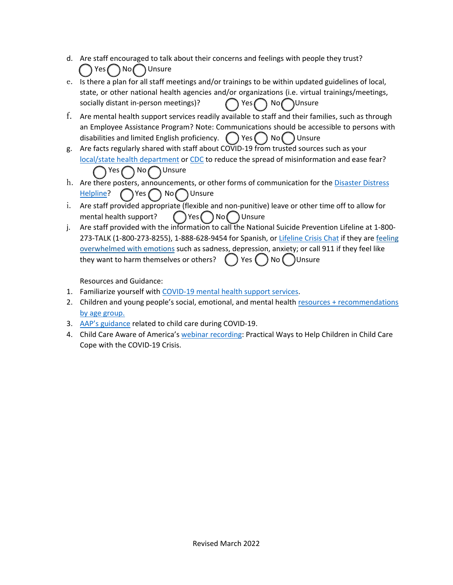- d. Are staff encouraged to talk about their concerns and feelings with people they trust? Yes No Unsure
- e. Is there a plan for all staff meetings and/or trainings to be within updated guidelines of local, state, or other national health agencies and/or organizations (i.e. virtual trainings/meetings, socially distant in-person meetings)? <br> The Non Unsure No Unsure
- f. Are mental health support services readily available to staff and their families, such as through an Employee Assistance Program? Note: Communications should be accessible to persons with disabilities and limited English proficiency.  $\binom{ }{ }$  Yes  $\binom{ }{ }$  No  $\binom{ }{ }$  Unsure
- g. Are facts regularly shared with staff about COVID-19 from trusted sources such as your local/state health department or CDC to reduce the spread of misinformation and ease fear? Yes No Unsure
- h. Are there posters, announcements, or other forms of communication for the Disaster Distress  $Helpline?$   $\bigcap$  Yes  $\bigcap$  No  $\bigcap$  Unsure
- i. Are staff provided appropriate (flexible and non-punitive) leave or other time off to allow for mental health support?  $($   $)$  Yes  $($   $)$  No  $($   $)$  Unsure
- j. Are staff provided with the information to call the National Suicide Prevention Lifeline at 1-800- 273-TALK (1-800-273-8255), 1-888-628-9454 for Spanish, or Lifeline Crisis Chat if they are feeling overwhelmed with emotions such as sadness, depression, anxiety; or call 911 if they feel like they want to harm themselves or others?  $($  ) Yes  $($  ) No  $($  )Unsure

Resources and Guidance:

- 1. Familiarize yourself with COVID-19 mental health support services.
- 2. Children and young people's social, emotional, and mental health resources + recommendations by age group.
- 3. AAP's guidance related to child care during COVID-19.
- 4. Child Care Aware of America's webinar recording: Practical Ways to Help Children in Child Care Cope with the COVID-19 Crisis.